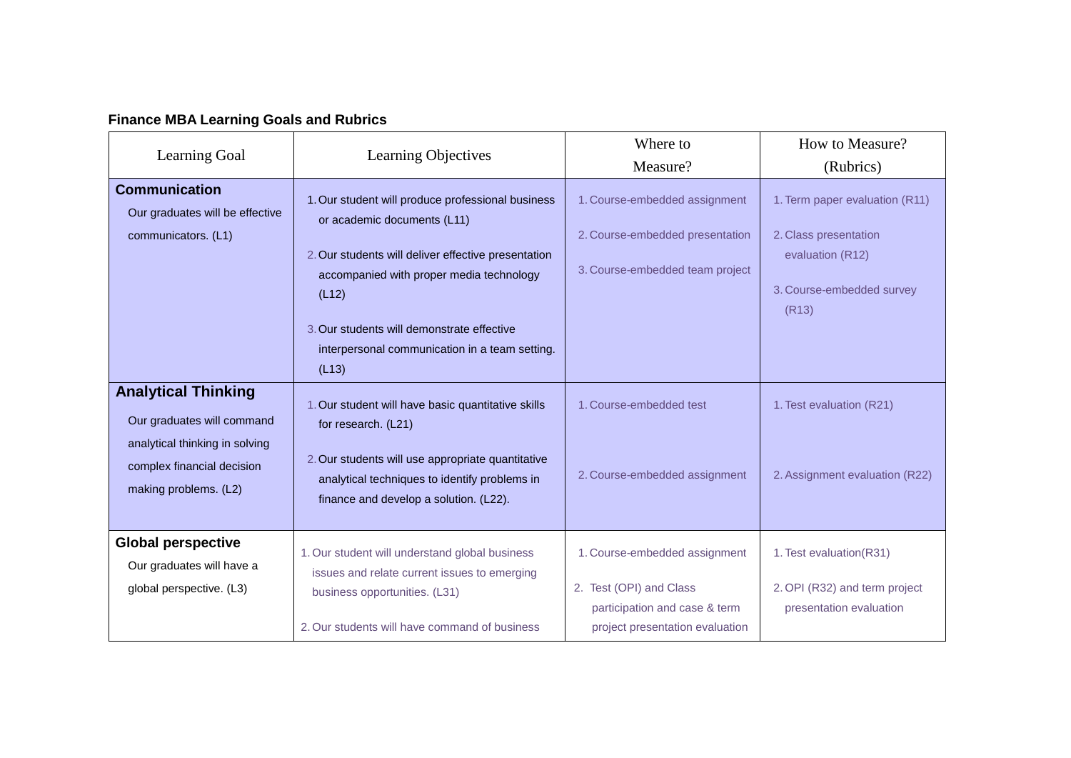|  |  | <b>Finance MBA Learning Goals and Rubrics</b> |  |  |  |
|--|--|-----------------------------------------------|--|--|--|
|--|--|-----------------------------------------------|--|--|--|

|                                                                                                                          |                                                                                                                                                                                                                   | Where to                                                                                                                     | How to Measure?                                                                     |
|--------------------------------------------------------------------------------------------------------------------------|-------------------------------------------------------------------------------------------------------------------------------------------------------------------------------------------------------------------|------------------------------------------------------------------------------------------------------------------------------|-------------------------------------------------------------------------------------|
| Learning Goal                                                                                                            | Learning Objectives                                                                                                                                                                                               | Measure?                                                                                                                     | (Rubrics)                                                                           |
| <b>Communication</b><br>Our graduates will be effective<br>communicators. (L1)                                           | 1. Our student will produce professional business<br>or academic documents (L11)                                                                                                                                  | 1. Course-embedded assignment<br>2. Course-embedded presentation                                                             | 1. Term paper evaluation (R11)<br>2. Class presentation                             |
|                                                                                                                          | 2. Our students will deliver effective presentation<br>accompanied with proper media technology<br>(L12)<br>3. Our students will demonstrate effective<br>interpersonal communication in a team setting.<br>(L13) | 3. Course-embedded team project                                                                                              | evaluation (R12)<br>3. Course-embedded survey<br>(R13)                              |
| <b>Analytical Thinking</b><br>Our graduates will command<br>analytical thinking in solving<br>complex financial decision | 1. Our student will have basic quantitative skills<br>for research. (L21)<br>2. Our students will use appropriate quantitative                                                                                    | 1. Course-embedded test                                                                                                      | 1. Test evaluation (R21)                                                            |
| making problems. (L2)                                                                                                    | analytical techniques to identify problems in<br>finance and develop a solution. (L22).                                                                                                                           | 2. Course-embedded assignment                                                                                                | 2. Assignment evaluation (R22)                                                      |
| <b>Global perspective</b><br>Our graduates will have a<br>global perspective. (L3)                                       | 1. Our student will understand global business<br>issues and relate current issues to emerging<br>business opportunities. (L31)<br>2. Our students will have command of business                                  | 1. Course-embedded assignment<br>2. Test (OPI) and Class<br>participation and case & term<br>project presentation evaluation | 1. Test evaluation(R31)<br>2. OPI (R32) and term project<br>presentation evaluation |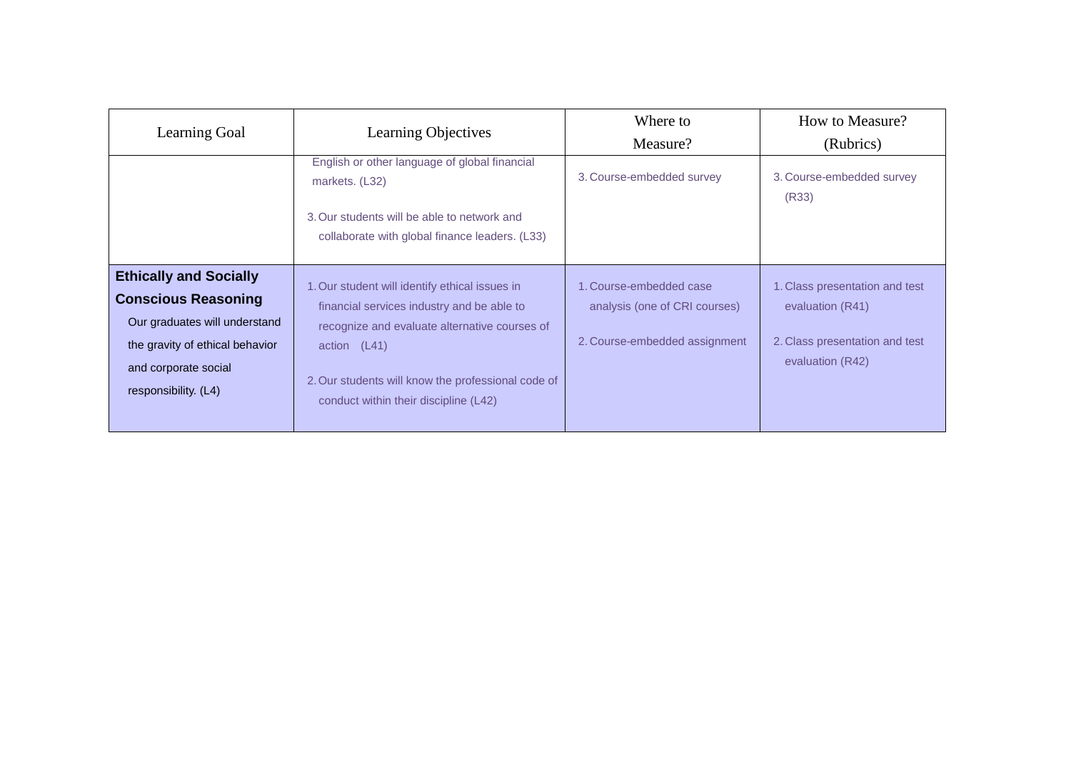| Learning Goal                                                                                                                                                                   | Learning Objectives                                                                                                                                                                                                                                          | Where to<br>Measure?                                                                      | How to Measure?<br>(Rubrics)                                                                             |
|---------------------------------------------------------------------------------------------------------------------------------------------------------------------------------|--------------------------------------------------------------------------------------------------------------------------------------------------------------------------------------------------------------------------------------------------------------|-------------------------------------------------------------------------------------------|----------------------------------------------------------------------------------------------------------|
|                                                                                                                                                                                 | English or other language of global financial<br>markets. (L32)<br>3. Our students will be able to network and<br>collaborate with global finance leaders. (L33)                                                                                             | 3. Course-embedded survey                                                                 | 3. Course-embedded survey<br>(R33)                                                                       |
| <b>Ethically and Socially</b><br><b>Conscious Reasoning</b><br>Our graduates will understand<br>the gravity of ethical behavior<br>and corporate social<br>responsibility. (L4) | 1. Our student will identify ethical issues in<br>financial services industry and be able to<br>recognize and evaluate alternative courses of<br>action (L41)<br>2. Our students will know the professional code of<br>conduct within their discipline (L42) | 1. Course-embedded case<br>analysis (one of CRI courses)<br>2. Course-embedded assignment | 1. Class presentation and test<br>evaluation (R41)<br>2. Class presentation and test<br>evaluation (R42) |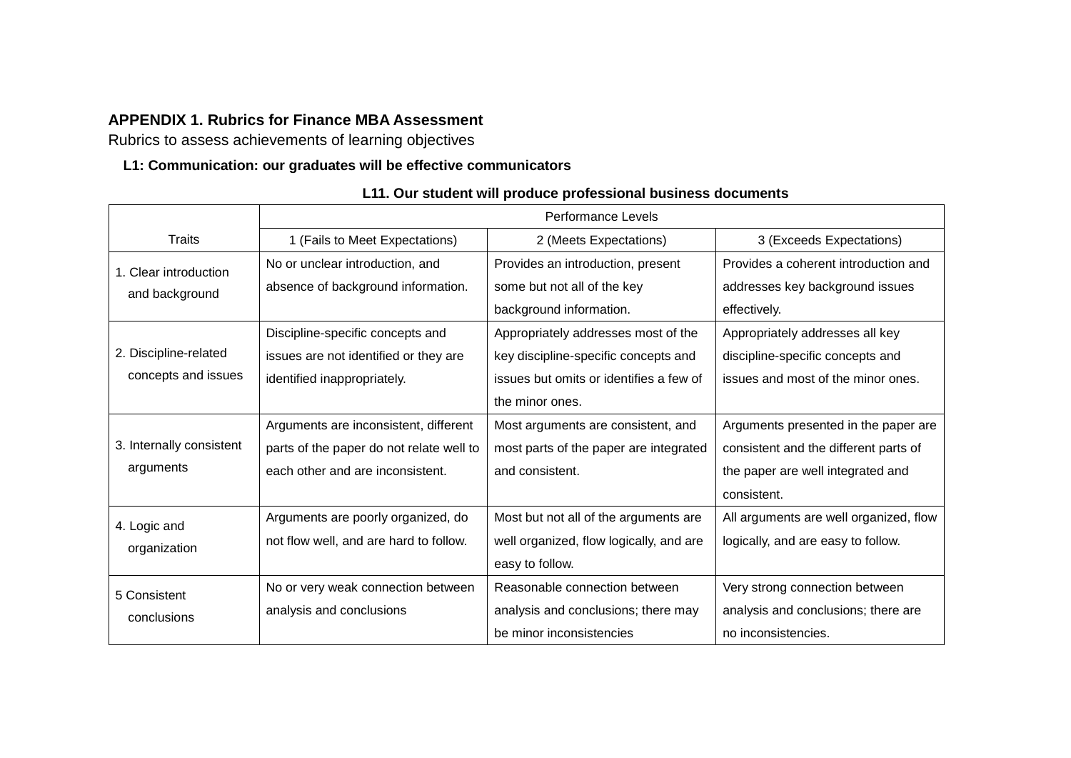### **APPENDIX 1. Rubrics for Finance MBA Assessment**

Rubrics to assess achievements of learning objectives

#### **L1: Communication: our graduates will be effective communicators**

|                                         | Performance Levels                                                    |                                                                  |                                                                         |  |
|-----------------------------------------|-----------------------------------------------------------------------|------------------------------------------------------------------|-------------------------------------------------------------------------|--|
| Traits                                  | 1 (Fails to Meet Expectations)                                        | 2 (Meets Expectations)                                           | 3 (Exceeds Expectations)                                                |  |
| 1. Clear introduction<br>and background | No or unclear introduction, and<br>absence of background information. | Provides an introduction, present<br>some but not all of the key | Provides a coherent introduction and<br>addresses key background issues |  |
|                                         |                                                                       | background information.                                          | effectively.                                                            |  |
|                                         | Discipline-specific concepts and                                      | Appropriately addresses most of the                              | Appropriately addresses all key                                         |  |
| 2. Discipline-related                   | issues are not identified or they are                                 | key discipline-specific concepts and                             | discipline-specific concepts and                                        |  |
| concepts and issues                     | identified inappropriately.                                           | issues but omits or identifies a few of                          | issues and most of the minor ones.                                      |  |
|                                         |                                                                       | the minor ones.                                                  |                                                                         |  |
|                                         | Arguments are inconsistent, different                                 | Most arguments are consistent, and                               | Arguments presented in the paper are                                    |  |
| 3. Internally consistent                | parts of the paper do not relate well to                              | most parts of the paper are integrated                           | consistent and the different parts of                                   |  |
| arguments                               | each other and are inconsistent.                                      | and consistent.                                                  | the paper are well integrated and                                       |  |
|                                         |                                                                       |                                                                  | consistent.                                                             |  |
| 4. Logic and                            | Arguments are poorly organized, do                                    | Most but not all of the arguments are                            | All arguments are well organized, flow                                  |  |
| organization                            | not flow well, and are hard to follow.                                | well organized, flow logically, and are                          | logically, and are easy to follow.                                      |  |
|                                         |                                                                       | easy to follow.                                                  |                                                                         |  |
| 5 Consistent                            | No or very weak connection between                                    | Reasonable connection between                                    | Very strong connection between                                          |  |
| conclusions                             | analysis and conclusions                                              | analysis and conclusions; there may                              | analysis and conclusions; there are                                     |  |
|                                         |                                                                       | be minor inconsistencies                                         | no inconsistencies.                                                     |  |

### **L11. Our student will produce professional business documents**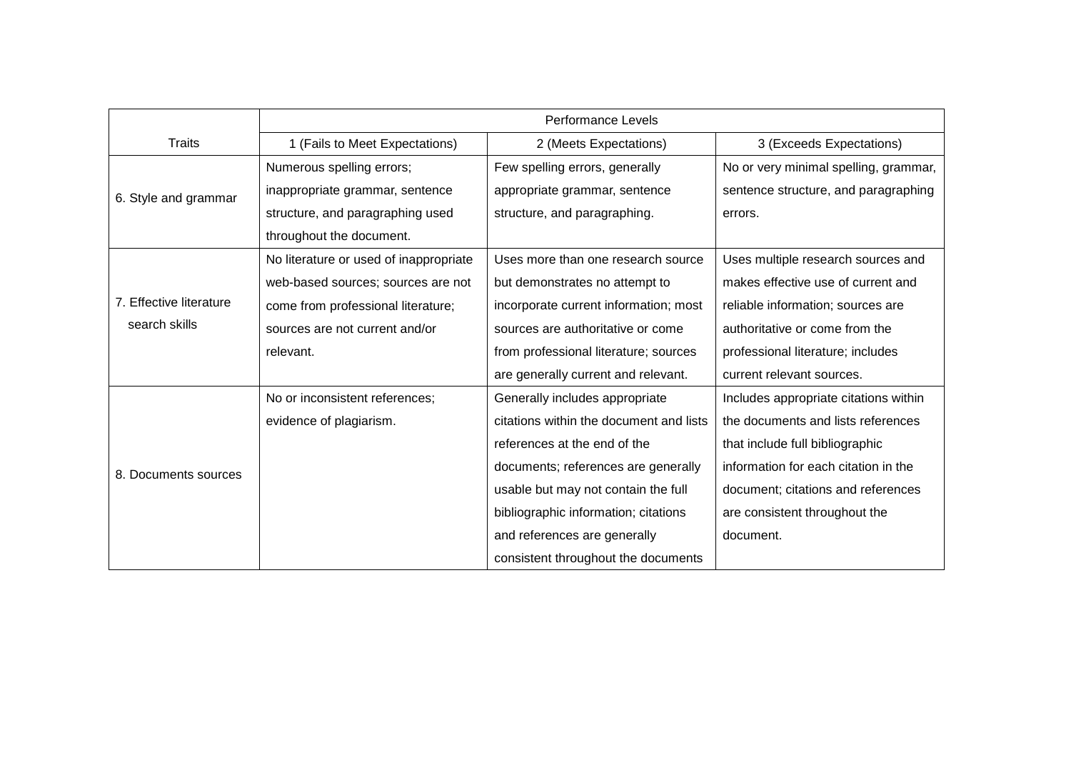|                         | <b>Performance Levels</b>              |                                         |                                       |  |
|-------------------------|----------------------------------------|-----------------------------------------|---------------------------------------|--|
| <b>Traits</b>           | 1 (Fails to Meet Expectations)         | 2 (Meets Expectations)                  | 3 (Exceeds Expectations)              |  |
|                         | Numerous spelling errors;              | Few spelling errors, generally          | No or very minimal spelling, grammar, |  |
| 6. Style and grammar    | inappropriate grammar, sentence        | appropriate grammar, sentence           | sentence structure, and paragraphing  |  |
|                         | structure, and paragraphing used       | structure, and paragraphing.            | errors.                               |  |
|                         | throughout the document.               |                                         |                                       |  |
|                         | No literature or used of inappropriate | Uses more than one research source      | Uses multiple research sources and    |  |
|                         | web-based sources; sources are not     | but demonstrates no attempt to          | makes effective use of current and    |  |
| 7. Effective literature | come from professional literature;     | incorporate current information; most   | reliable information; sources are     |  |
| search skills           | sources are not current and/or         | sources are authoritative or come       | authoritative or come from the        |  |
|                         | relevant.                              | from professional literature; sources   | professional literature; includes     |  |
|                         |                                        | are generally current and relevant.     | current relevant sources.             |  |
|                         | No or inconsistent references;         | Generally includes appropriate          | Includes appropriate citations within |  |
|                         | evidence of plagiarism.                | citations within the document and lists | the documents and lists references    |  |
|                         |                                        | references at the end of the            | that include full bibliographic       |  |
| 8. Documents sources    |                                        | documents; references are generally     | information for each citation in the  |  |
|                         |                                        | usable but may not contain the full     | document; citations and references    |  |
|                         |                                        | bibliographic information; citations    | are consistent throughout the         |  |
|                         |                                        | and references are generally            | document.                             |  |
|                         |                                        | consistent throughout the documents     |                                       |  |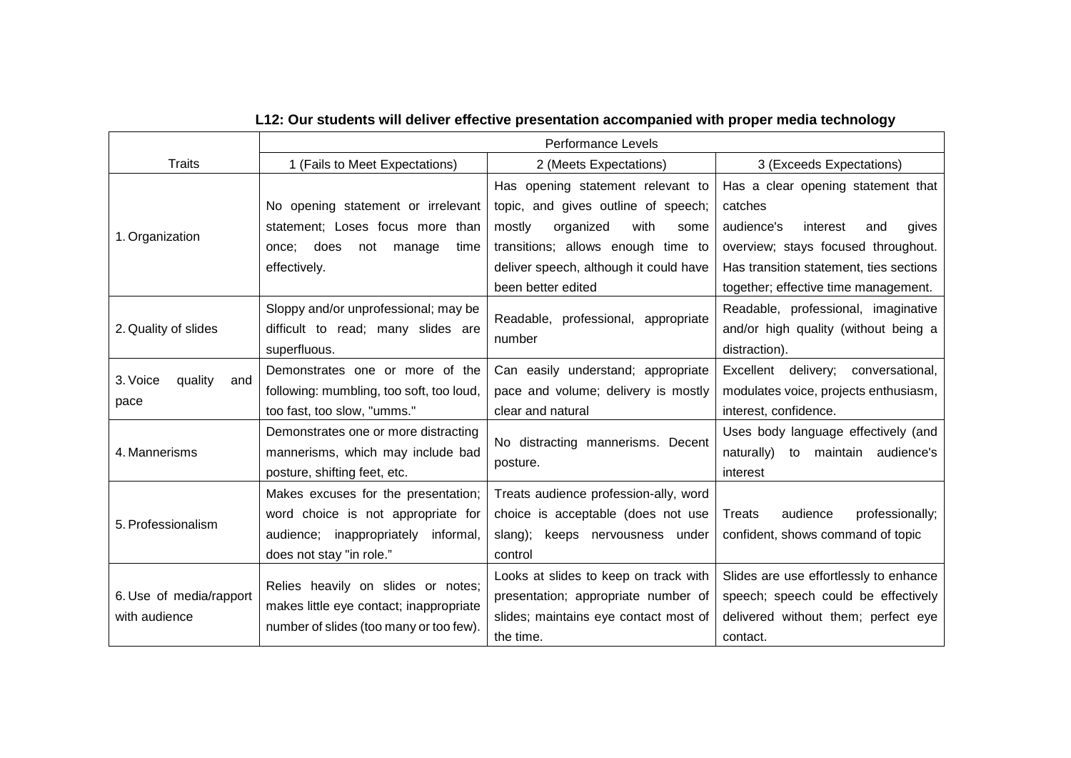|                            | Performance Levels                       |                                        |                                         |  |
|----------------------------|------------------------------------------|----------------------------------------|-----------------------------------------|--|
| <b>Traits</b>              | 1 (Fails to Meet Expectations)           | 2 (Meets Expectations)                 | 3 (Exceeds Expectations)                |  |
|                            |                                          | Has opening statement relevant to      | Has a clear opening statement that      |  |
|                            | No opening statement or irrelevant       | topic, and gives outline of speech;    | catches                                 |  |
| 1. Organization            | statement; Loses focus more than         | with<br>mostly<br>organized<br>some    | audience's<br>interest<br>and<br>gives  |  |
|                            | does<br>once:<br>not<br>manage<br>time   | transitions; allows enough time to     | overview; stays focused throughout.     |  |
|                            | effectively.                             | deliver speech, although it could have | Has transition statement, ties sections |  |
|                            |                                          | been better edited                     | together; effective time management.    |  |
|                            | Sloppy and/or unprofessional; may be     | Readable, professional, appropriate    | Readable, professional, imaginative     |  |
| 2. Quality of slides       | difficult to read; many slides are       | number                                 | and/or high quality (without being a    |  |
|                            | superfluous.                             |                                        | distraction).                           |  |
| quality<br>3. Voice<br>and | Demonstrates one or more of the          | Can easily understand; appropriate     | Excellent<br>delivery; conversational,  |  |
| pace                       | following: mumbling, too soft, too loud, | pace and volume; delivery is mostly    | modulates voice, projects enthusiasm,   |  |
|                            | too fast, too slow, "umms."              | clear and natural                      | interest, confidence.                   |  |
|                            | Demonstrates one or more distracting     | No distracting mannerisms. Decent      | Uses body language effectively (and     |  |
| 4. Mannerisms              | mannerisms, which may include bad        | posture.                               | naturally) to maintain audience's       |  |
|                            | posture, shifting feet, etc.             |                                        | interest                                |  |
|                            | Makes excuses for the presentation;      | Treats audience profession-ally, word  |                                         |  |
| 5. Professionalism         | word choice is not appropriate for       | choice is acceptable (does not use     | audience<br>professionally;<br>Treats   |  |
|                            | audience; inappropriately informal,      | slang);<br>keeps nervousness under     | confident, shows command of topic       |  |
|                            | does not stay "in role."                 | control                                |                                         |  |
|                            | Relies heavily on slides or notes;       | Looks at slides to keep on track with  | Slides are use effortlessly to enhance  |  |
| 6. Use of media/rapport    | makes little eye contact; inappropriate  | presentation; appropriate number of    | speech; speech could be effectively     |  |
| with audience              | number of slides (too many or too few).  | slides; maintains eye contact most of  | delivered without them; perfect eye     |  |
|                            |                                          | the time.                              | contact.                                |  |

# **L12: Our students will deliver effective presentation accompanied with proper media technology**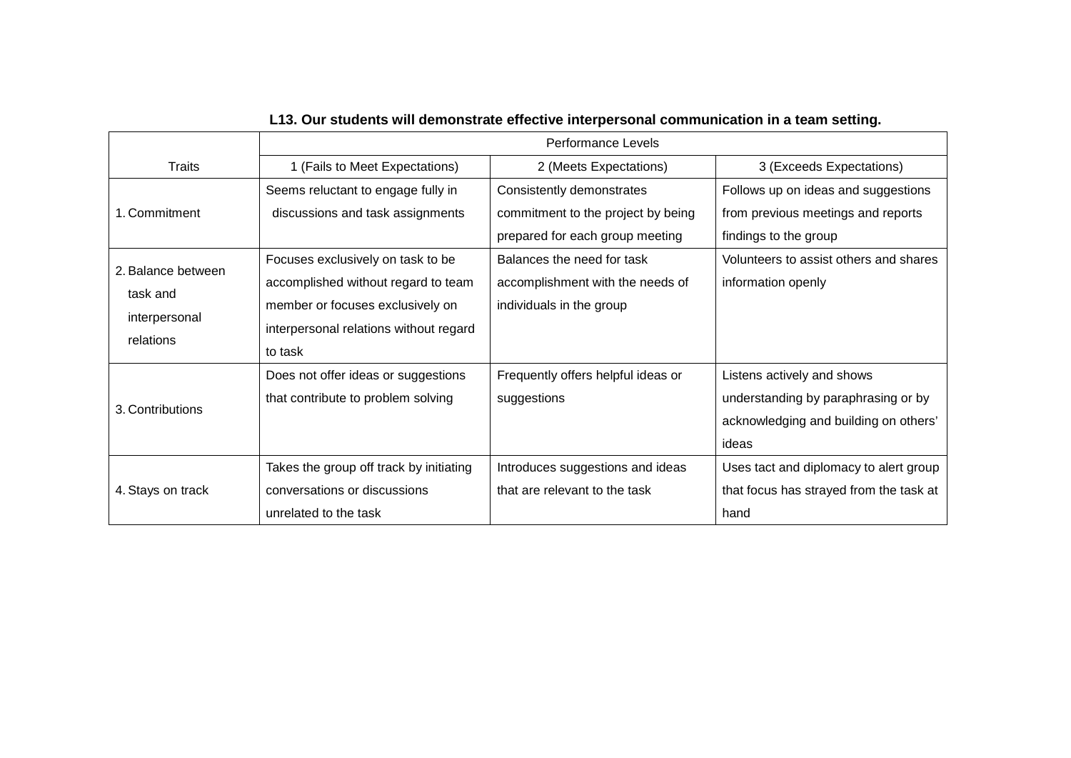|                                                              | Performance Levels                                                                                                                                                |                                                                                                    |                                                                                                                     |  |
|--------------------------------------------------------------|-------------------------------------------------------------------------------------------------------------------------------------------------------------------|----------------------------------------------------------------------------------------------------|---------------------------------------------------------------------------------------------------------------------|--|
| <b>Traits</b>                                                | 1 (Fails to Meet Expectations)                                                                                                                                    | 2 (Meets Expectations)                                                                             | 3 (Exceeds Expectations)                                                                                            |  |
| 1. Commitment                                                | Seems reluctant to engage fully in<br>discussions and task assignments                                                                                            | Consistently demonstrates<br>commitment to the project by being<br>prepared for each group meeting | Follows up on ideas and suggestions<br>from previous meetings and reports<br>findings to the group                  |  |
| 2. Balance between<br>task and<br>interpersonal<br>relations | Focuses exclusively on task to be<br>accomplished without regard to team<br>member or focuses exclusively on<br>interpersonal relations without regard<br>to task | Balances the need for task<br>accomplishment with the needs of<br>individuals in the group         | Volunteers to assist others and shares<br>information openly                                                        |  |
| 3. Contributions                                             | Does not offer ideas or suggestions<br>that contribute to problem solving                                                                                         | Frequently offers helpful ideas or<br>suggestions                                                  | Listens actively and shows<br>understanding by paraphrasing or by<br>acknowledging and building on others'<br>ideas |  |
| 4. Stays on track                                            | Takes the group off track by initiating<br>conversations or discussions<br>unrelated to the task                                                                  | Introduces suggestions and ideas<br>that are relevant to the task                                  | Uses tact and diplomacy to alert group<br>that focus has strayed from the task at<br>hand                           |  |

# **L13. Our students will demonstrate effective interpersonal communication in a team setting.**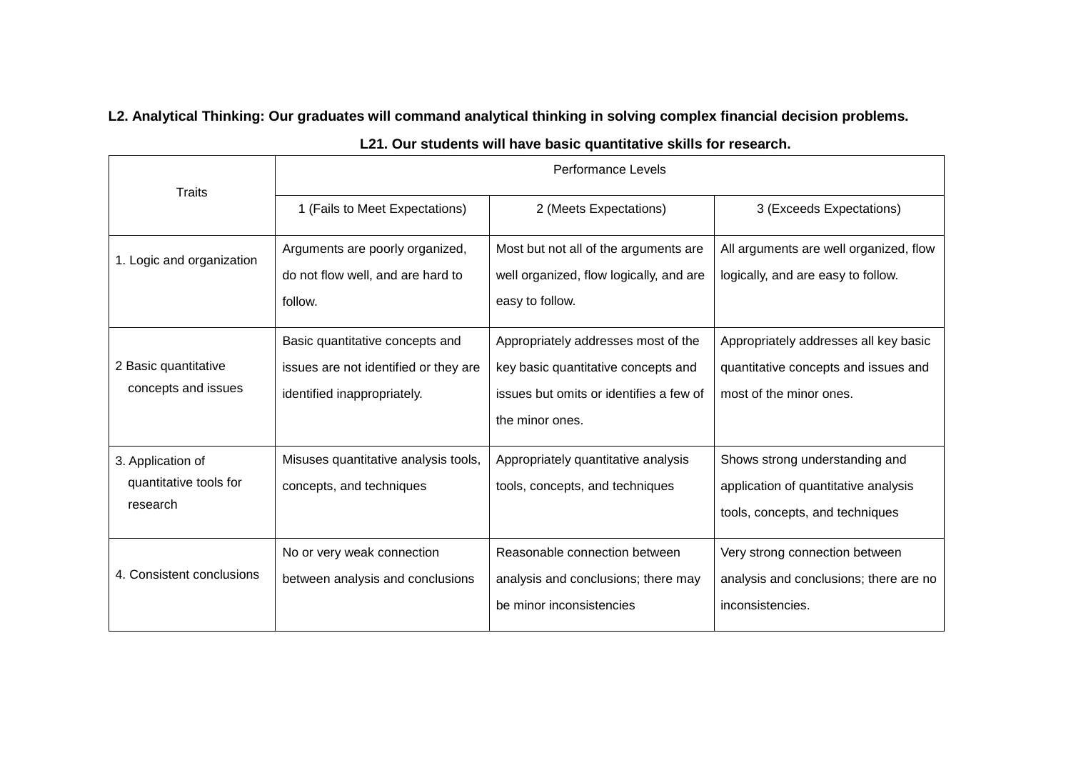**L2. Analytical Thinking: Our graduates will command analytical thinking in solving complex financial decision problems.** 

|                                                         | Performance Levels                                                                                      |                                                                                                                                          |                                                                                                           |  |
|---------------------------------------------------------|---------------------------------------------------------------------------------------------------------|------------------------------------------------------------------------------------------------------------------------------------------|-----------------------------------------------------------------------------------------------------------|--|
| <b>Traits</b>                                           | 1 (Fails to Meet Expectations)                                                                          | 2 (Meets Expectations)                                                                                                                   | 3 (Exceeds Expectations)                                                                                  |  |
| 1. Logic and organization                               | Arguments are poorly organized,<br>do not flow well, and are hard to<br>follow.                         | Most but not all of the arguments are<br>well organized, flow logically, and are<br>easy to follow.                                      | All arguments are well organized, flow<br>logically, and are easy to follow.                              |  |
| 2 Basic quantitative<br>concepts and issues             | Basic quantitative concepts and<br>issues are not identified or they are<br>identified inappropriately. | Appropriately addresses most of the<br>key basic quantitative concepts and<br>issues but omits or identifies a few of<br>the minor ones. | Appropriately addresses all key basic<br>quantitative concepts and issues and<br>most of the minor ones.  |  |
| 3. Application of<br>quantitative tools for<br>research | Misuses quantitative analysis tools,<br>concepts, and techniques                                        | Appropriately quantitative analysis<br>tools, concepts, and techniques                                                                   | Shows strong understanding and<br>application of quantitative analysis<br>tools, concepts, and techniques |  |
| 4. Consistent conclusions                               | No or very weak connection<br>between analysis and conclusions                                          | Reasonable connection between<br>analysis and conclusions; there may<br>be minor inconsistencies                                         | Very strong connection between<br>analysis and conclusions; there are no<br>inconsistencies.              |  |

### **L21. Our students will have basic quantitative skills for research.**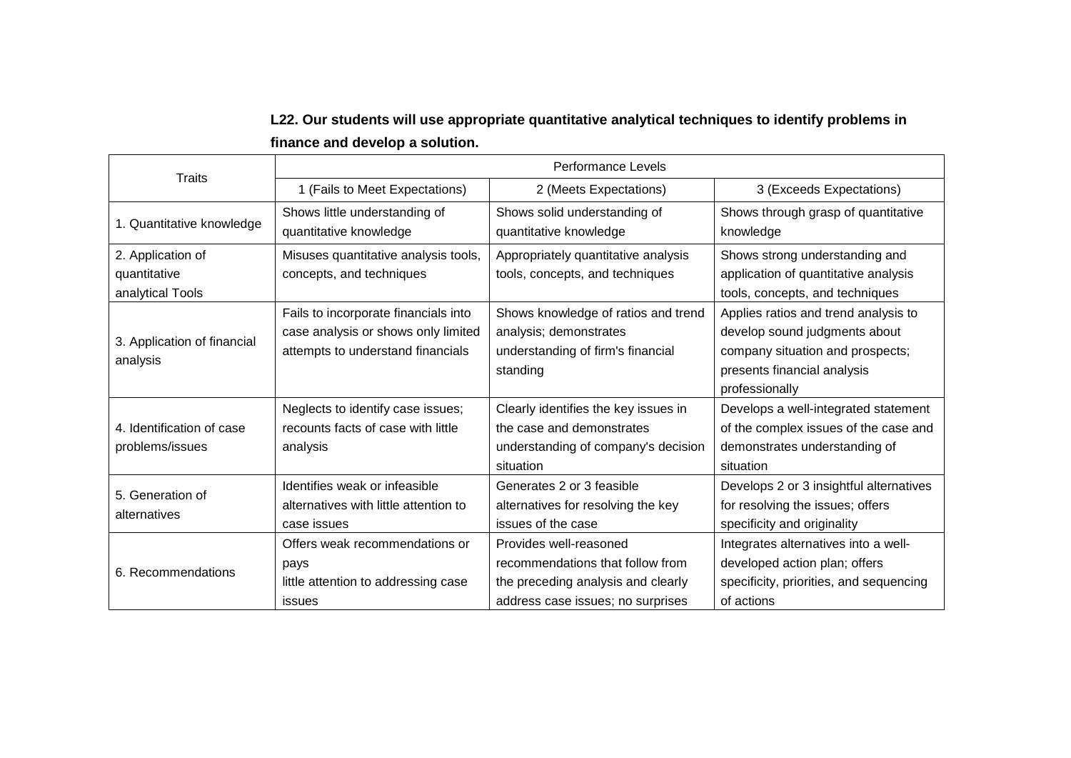## **L22. Our students will use appropriate quantitative analytical techniques to identify problems in finance and develop a solution.**

| <b>Traits</b>                                         |                                                                                                                  | Performance Levels                                                                                                                    |                                                                                                                                                            |  |  |
|-------------------------------------------------------|------------------------------------------------------------------------------------------------------------------|---------------------------------------------------------------------------------------------------------------------------------------|------------------------------------------------------------------------------------------------------------------------------------------------------------|--|--|
|                                                       | 1 (Fails to Meet Expectations)                                                                                   | 2 (Meets Expectations)                                                                                                                | 3 (Exceeds Expectations)                                                                                                                                   |  |  |
| 1. Quantitative knowledge                             | Shows little understanding of<br>quantitative knowledge                                                          | Shows solid understanding of<br>quantitative knowledge                                                                                | Shows through grasp of quantitative<br>knowledge                                                                                                           |  |  |
| 2. Application of<br>quantitative<br>analytical Tools | Misuses quantitative analysis tools,<br>concepts, and techniques                                                 | Appropriately quantitative analysis<br>tools, concepts, and techniques                                                                | Shows strong understanding and<br>application of quantitative analysis<br>tools, concepts, and techniques                                                  |  |  |
| 3. Application of financial<br>analysis               | Fails to incorporate financials into<br>case analysis or shows only limited<br>attempts to understand financials | Shows knowledge of ratios and trend<br>analysis; demonstrates<br>understanding of firm's financial<br>standing                        | Applies ratios and trend analysis to<br>develop sound judgments about<br>company situation and prospects;<br>presents financial analysis<br>professionally |  |  |
| 4. Identification of case<br>problems/issues          | Neglects to identify case issues;<br>recounts facts of case with little<br>analysis                              | Clearly identifies the key issues in<br>the case and demonstrates<br>understanding of company's decision<br>situation                 | Develops a well-integrated statement<br>of the complex issues of the case and<br>demonstrates understanding of<br>situation                                |  |  |
| 5. Generation of<br>alternatives                      | Identifies weak or infeasible<br>alternatives with little attention to<br>case issues                            | Generates 2 or 3 feasible<br>alternatives for resolving the key<br>issues of the case                                                 | Develops 2 or 3 insightful alternatives<br>for resolving the issues; offers<br>specificity and originality                                                 |  |  |
| 6. Recommendations                                    | Offers weak recommendations or<br>pays<br>little attention to addressing case<br><b>issues</b>                   | Provides well-reasoned<br>recommendations that follow from<br>the preceding analysis and clearly<br>address case issues; no surprises | Integrates alternatives into a well-<br>developed action plan; offers<br>specificity, priorities, and sequencing<br>of actions                             |  |  |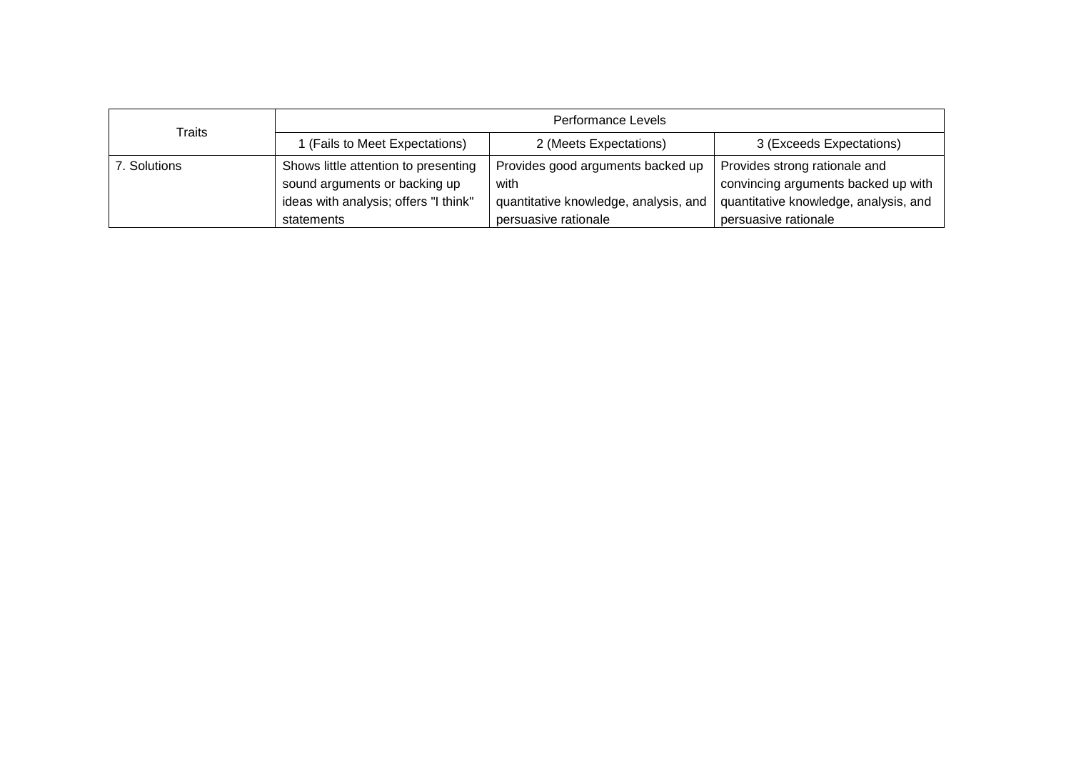| Traits       | Performance Levels                    |                                       |                                       |  |
|--------------|---------------------------------------|---------------------------------------|---------------------------------------|--|
|              | (Fails to Meet Expectations)          | 2 (Meets Expectations)                | 3 (Exceeds Expectations)              |  |
| 7. Solutions | Shows little attention to presenting  | Provides good arguments backed up     | Provides strong rationale and         |  |
|              | sound arguments or backing up         | with                                  | convincing arguments backed up with   |  |
|              | ideas with analysis; offers "I think" | quantitative knowledge, analysis, and | quantitative knowledge, analysis, and |  |
|              | statements                            | persuasive rationale                  | persuasive rationale                  |  |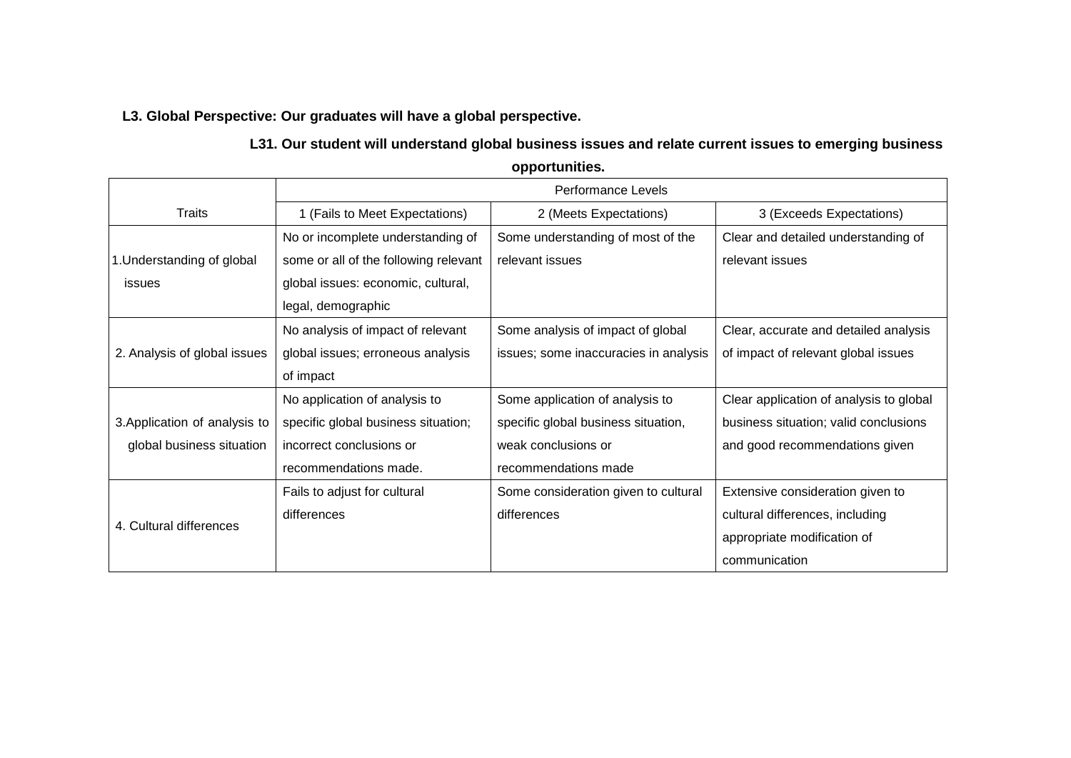### **L3. Global Perspective: Our graduates will have a global perspective.**

### **L31. Our student will understand global business issues and relate current issues to emerging business**

**opportunities.**

|                               | Performance Levels                    |                                       |                                         |  |
|-------------------------------|---------------------------------------|---------------------------------------|-----------------------------------------|--|
| <b>Traits</b>                 | 1 (Fails to Meet Expectations)        | 2 (Meets Expectations)                | 3 (Exceeds Expectations)                |  |
|                               | No or incomplete understanding of     | Some understanding of most of the     | Clear and detailed understanding of     |  |
| 1. Understanding of global    | some or all of the following relevant | relevant issues                       | relevant issues                         |  |
| issues                        | global issues: economic, cultural,    |                                       |                                         |  |
|                               | legal, demographic                    |                                       |                                         |  |
|                               | No analysis of impact of relevant     | Some analysis of impact of global     | Clear, accurate and detailed analysis   |  |
| 2. Analysis of global issues  | global issues; erroneous analysis     | issues; some inaccuracies in analysis | of impact of relevant global issues     |  |
|                               | of impact                             |                                       |                                         |  |
|                               | No application of analysis to         | Some application of analysis to       | Clear application of analysis to global |  |
| 3. Application of analysis to | specific global business situation;   | specific global business situation,   | business situation; valid conclusions   |  |
| global business situation     | incorrect conclusions or              | weak conclusions or                   | and good recommendations given          |  |
|                               | recommendations made.                 | recommendations made                  |                                         |  |
|                               | Fails to adjust for cultural          | Some consideration given to cultural  | Extensive consideration given to        |  |
| 4. Cultural differences       | differences                           | differences                           | cultural differences, including         |  |
|                               |                                       |                                       | appropriate modification of             |  |
|                               |                                       |                                       | communication                           |  |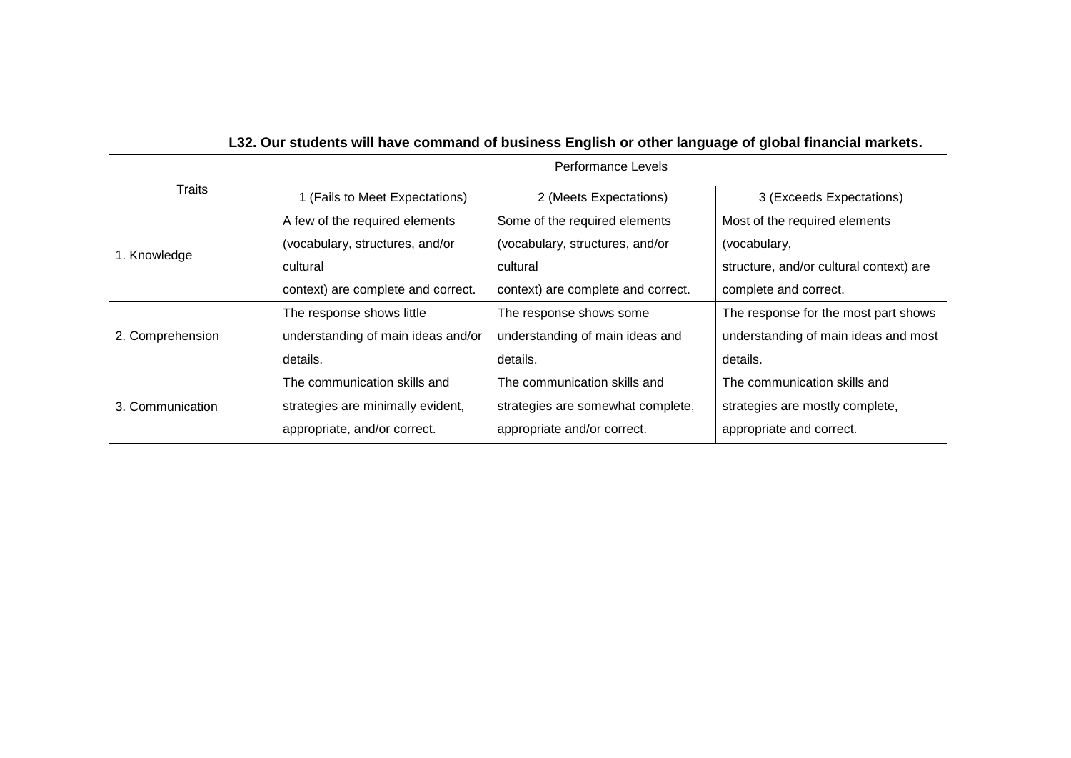# **L32. Our students will have command of business English or other language of global financial markets.**

|                  | Performance Levels                 |                                    |                                         |  |
|------------------|------------------------------------|------------------------------------|-----------------------------------------|--|
| Traits           | 1 (Fails to Meet Expectations)     | 2 (Meets Expectations)             | 3 (Exceeds Expectations)                |  |
|                  | A few of the required elements     | Some of the required elements      | Most of the required elements           |  |
| 1. Knowledge     | (vocabulary, structures, and/or    | (vocabulary, structures, and/or    | (vocabulary,                            |  |
|                  | cultural                           | cultural                           | structure, and/or cultural context) are |  |
|                  | context) are complete and correct. | context) are complete and correct. | complete and correct.                   |  |
|                  | The response shows little          | The response shows some            | The response for the most part shows    |  |
| 2. Comprehension | understanding of main ideas and/or | understanding of main ideas and    | understanding of main ideas and most    |  |
|                  | details.                           | details.                           | details.                                |  |
| 3. Communication | The communication skills and       | The communication skills and       | The communication skills and            |  |
|                  | strategies are minimally evident,  | strategies are somewhat complete,  | strategies are mostly complete,         |  |
|                  | appropriate, and/or correct.       | appropriate and/or correct.        | appropriate and correct.                |  |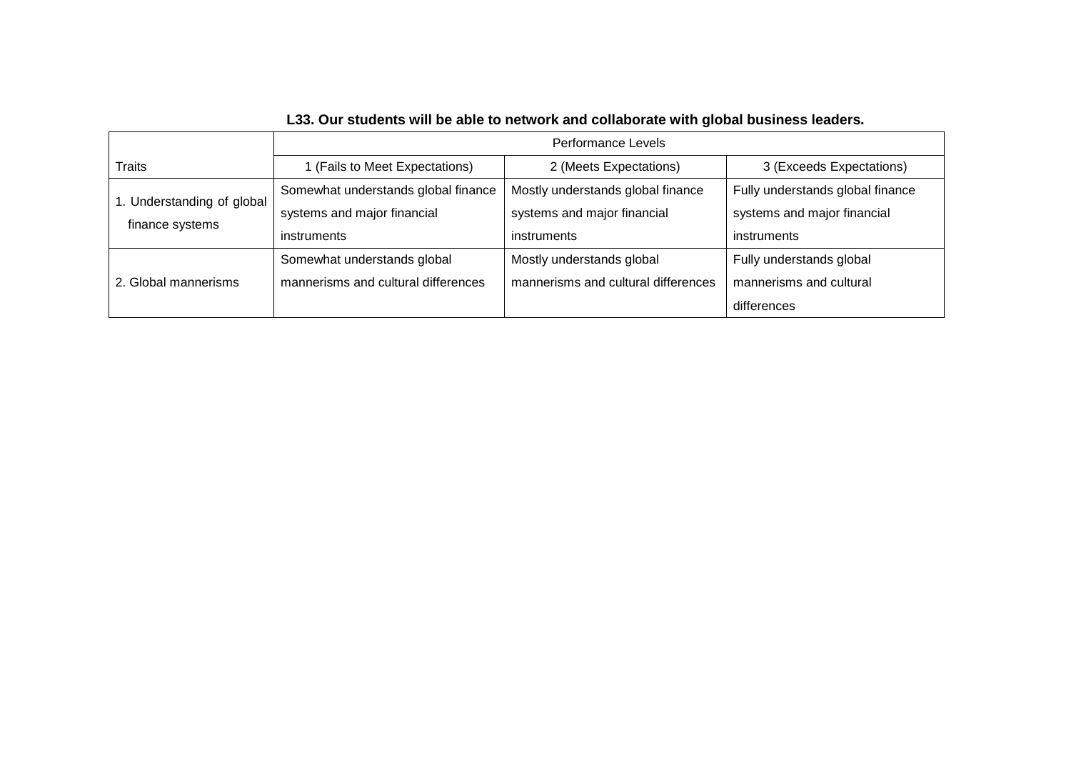|                                               | <b>Performance Levels</b>           |                                     |                                  |
|-----------------------------------------------|-------------------------------------|-------------------------------------|----------------------------------|
| <b>Traits</b>                                 | 1 (Fails to Meet Expectations)      | 2 (Meets Expectations)              | 3 (Exceeds Expectations)         |
| 1. Understanding of global<br>finance systems | Somewhat understands global finance | Mostly understands global finance   | Fully understands global finance |
|                                               | systems and major financial         | systems and major financial         | systems and major financial      |
|                                               | instruments                         | <i>instruments</i>                  | instruments                      |
| 2. Global mannerisms                          | Somewhat understands global         | Mostly understands global           | Fully understands global         |
|                                               | mannerisms and cultural differences | mannerisms and cultural differences | mannerisms and cultural          |
|                                               |                                     |                                     | differences                      |

# **L33. Our students will be able to network and collaborate with global business leaders.**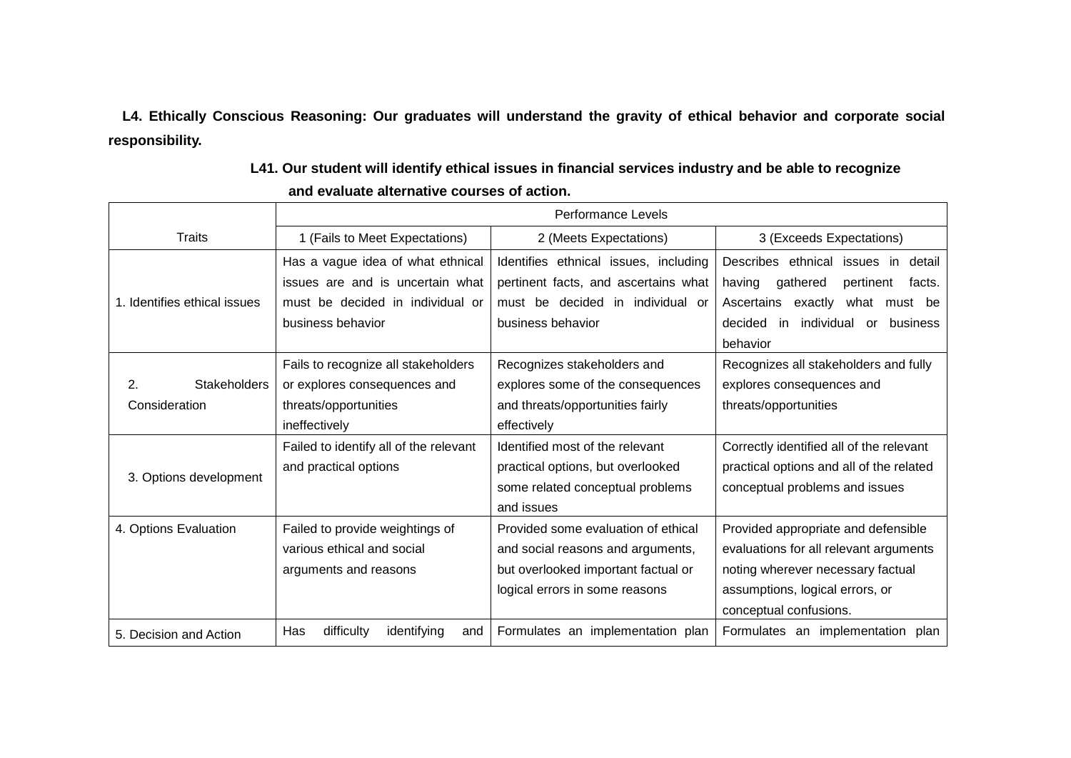**L4. Ethically Conscious Reasoning: Our graduates will understand the gravity of ethical behavior and corporate social responsibility.**

| L41. Our student will identify ethical issues in financial services industry and be able to recognize |  |
|-------------------------------------------------------------------------------------------------------|--|
| and evaluate alternative courses of action.                                                           |  |

|                              | <b>Performance Levels</b>                                            |                                                                          |                                                                                 |
|------------------------------|----------------------------------------------------------------------|--------------------------------------------------------------------------|---------------------------------------------------------------------------------|
| Traits                       | 1 (Fails to Meet Expectations)                                       | 2 (Meets Expectations)                                                   | 3 (Exceeds Expectations)                                                        |
|                              | Has a vague idea of what ethnical                                    | Identifies ethnical issues, including                                    | Describes ethnical issues in detail                                             |
| 1. Identifies ethical issues | issues are and is uncertain what<br>must be decided in individual or | pertinent facts, and ascertains what<br>must be decided in individual or | gathered<br>having<br>pertinent<br>facts.<br>Ascertains exactly what<br>must be |
|                              | business behavior                                                    | business behavior                                                        | decided<br>in<br>individual<br>business<br>or                                   |
|                              |                                                                      |                                                                          | behavior                                                                        |
|                              | Fails to recognize all stakeholders                                  | Recognizes stakeholders and                                              | Recognizes all stakeholders and fully                                           |
| <b>Stakeholders</b><br>2.    | or explores consequences and                                         | explores some of the consequences                                        | explores consequences and                                                       |
| Consideration                | threats/opportunities                                                | and threats/opportunities fairly                                         | threats/opportunities                                                           |
|                              | ineffectively                                                        | effectively                                                              |                                                                                 |
|                              | Failed to identify all of the relevant                               | Identified most of the relevant                                          | Correctly identified all of the relevant                                        |
| 3. Options development       | and practical options                                                | practical options, but overlooked                                        | practical options and all of the related                                        |
|                              |                                                                      | some related conceptual problems                                         | conceptual problems and issues                                                  |
|                              |                                                                      | and issues                                                               |                                                                                 |
| 4. Options Evaluation        | Failed to provide weightings of                                      | Provided some evaluation of ethical                                      | Provided appropriate and defensible                                             |
|                              | various ethical and social                                           | and social reasons and arguments,                                        | evaluations for all relevant arguments                                          |
|                              | arguments and reasons                                                | but overlooked important factual or                                      | noting wherever necessary factual                                               |
|                              |                                                                      | logical errors in some reasons                                           | assumptions, logical errors, or                                                 |
|                              |                                                                      |                                                                          | conceptual confusions.                                                          |
| 5. Decision and Action       | difficulty<br>identifying<br>Has<br>and                              | Formulates an implementation plan                                        | Formulates an implementation plan                                               |